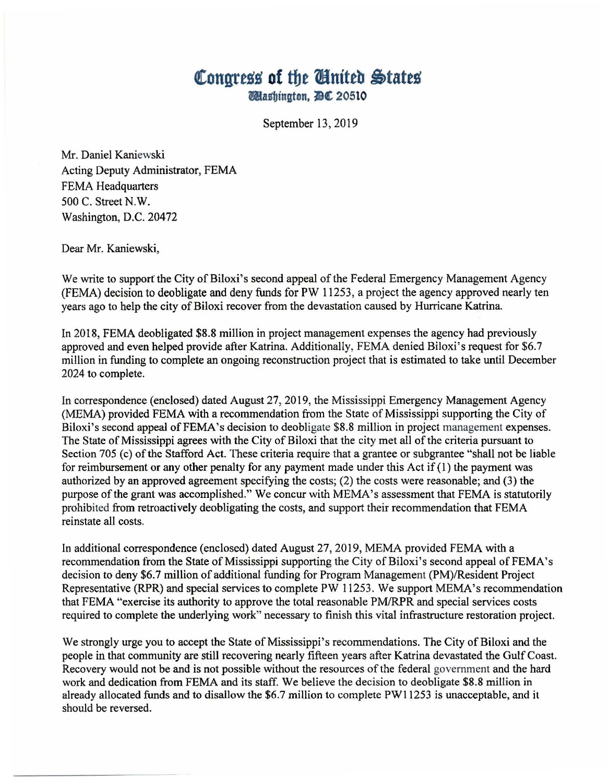## **Congress of the Cinited States 14tasbington. JlC 20510**

September 13, 2019

Mr. Daniel Kaniewski Acting Deputy Administrator, FEMA FEMA Headquarters 500 C. Street N.W. Washington, D.C. 20472

Dear Mr. Kaniewski,

We write to support the City of Biloxi's second appeal of the Federal Emergency Management Agency (FEMA) decision to deobligate and deny funds for PW 11253, a project the agency approved nearly ten years ago to help the city of Biloxi recover from the devastation caused by Hurricane Katrina.

In 2018, FEMA deobligated \$8.8 million in project management expenses the agency had previously approved and even helped provide after Katrina. Additionally, FEMA denied Biloxi's request for \$6.7 million in funding to complete an ongoing reconstruction project that is estimated to take until December 2024 to complete.

In correspondence (enclosed) dated August 27, 2019, the Mississippi Emergency Management Agency (MEMA) provided FEMA with a recommendation from the State of Mississippi supporting the City of Biloxi's second appeal of FEMA's decision to deobligate \$8.8 million in project management expenses. The State of Mississippi agrees with the City of Biloxi that the city met all of the criteria pursuant to Section 705 (c) of the Stafford Act. These criteria require that a grantee or subgrantee "shall not be liable for reimbursement or any other penalty for any payment made under this Act if  $(1)$  the payment was authorized by an approved agreement specifying the costs; (2) the costs were reasonable; and (3) the purpose of the grant was accomplished." We concur with MEMA's assessment that FEMA is statutorily prohibited from retroactively deobligating the costs, and support their recommendation that FEMA reinstate all costs.

In additional correspondence (enclosed) dated August 27, 2019, MEMA provided FEMA with a recommendation from the State of Mississippi supporting the City of Biloxi's second appeal of FEMA's decision to deny \$6.7 million of additional funding for Program Management (PM)/Resident Project Representative (RPR) and special services to complete PW 11253. We support MEMA's recommendation that FEMA "exercise its authority to approve the total reasonable PM/RPR and special services costs required to complete the underlying work" necessary to finish this vital infrastructure restoration project.

We strongly urge you to accept the State of Mississippi's recommendations. The City of Biloxi and the people in that community are still recovering nearly fifteen years after Katrina devastated the Gulf Coast. Recovery would not be and is not possible without the resources of the federal government and the hard work and dedication from FEMA and its staff. We believe the decision to deobligate \$8.8 million in already allocated funds and to disallow the \$6.7 million to complete PW11253 is unacceptable, and it should be reversed.